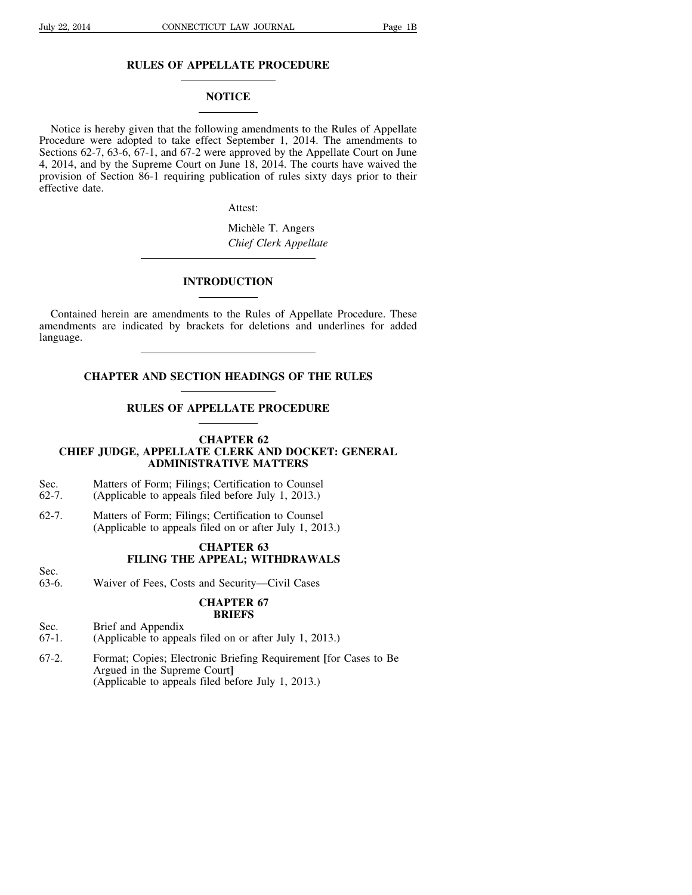## **RULES OF APPELLATE PROCEDURE**

### **NOTICE**

Notice is hereby given that the following amendments to the Rules of Appellate Procedure were adopted to take effect September 1, 2014. The amendments to Sections 62-7, 63-6, 67-1, and 67-2 were approved by the Appellate Court on June 4, 2014, and by the Supreme Court on June 18, 2014. The courts have waived the provision of Section 86-1 requiring publication of rules sixty days prior to their effective date.

Attest:

Michèle T. Angers *Chief Clerk Appellate*

## **INTRODUCTION**

Contained herein are amendments to the Rules of Appellate Procedure. These amendments are indicated by brackets for deletions and underlines for added language.

## **CHAPTER AND SECTION HEADINGS OF THE RULES**

### **RULES OF APPELLATE PROCEDURE**

#### **CHAPTER 62**

# **CHIEF JUDGE, APPELLATE CLERK AND DOCKET: GENERAL ADMINISTRATIVE MATTERS**

- Sec. Matters of Form; Filings; Certification to Counsel
- 62-7. (Applicable to appeals filed before July 1, 2013.)
- 62-7. Matters of Form; Filings; Certification to Counsel (Applicable to appeals filed on or after July 1, 2013.)

## **CHAPTER 63 FILING THE APPEAL; WITHDRAWALS**

- Sec.
- 63-6. Waiver of Fees, Costs and Security—Civil Cases

### **CHAPTER 67 BRIEFS**

- Sec. Brief and Appendix
- 67-1. (Applicable to appeals filed on or after July 1, 2013.)
- 67-2. Format; Copies; Electronic Briefing Requirement **[**for Cases to Be Argued in the Supreme Court**]** (Applicable to appeals filed before July 1, 2013.)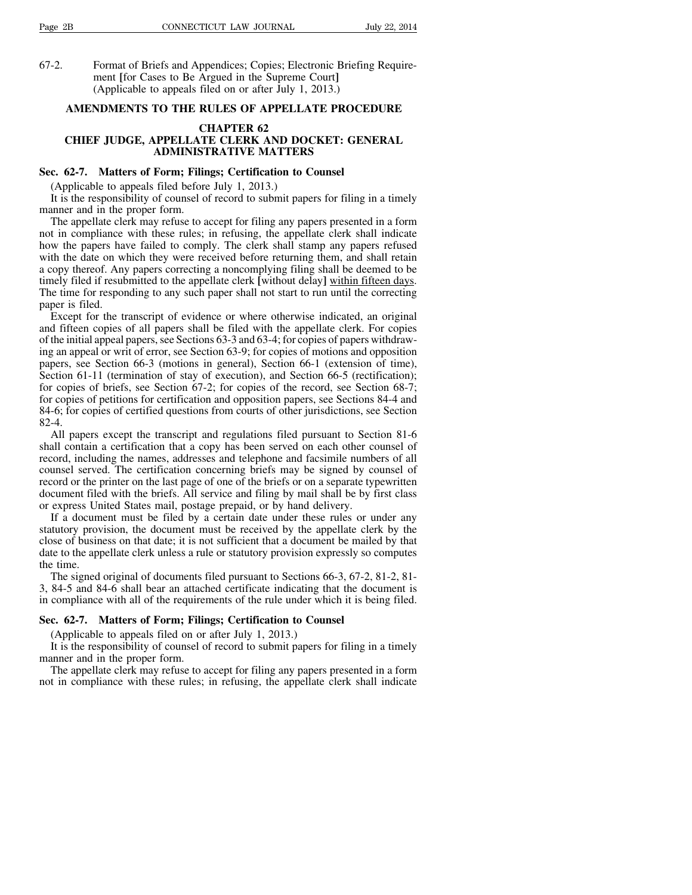67-2. Format of Briefs and Appendices; Copies; Electronic Briefing Requirement **[**for Cases to Be Argued in the Supreme Court**]** (Applicable to appeals filed on or after July 1, 2013.)

### **AMENDMENTS TO THE RULES OF APPELLATE PROCEDURE**

### **CHAPTER 62**

# **CHIEF JUDGE, APPELLATE CLERK AND DOCKET: GENERAL ADMINISTRATIVE MATTERS**

## **Sec. 62-7. Matters of Form; Filings; Certification to Counsel**

(Applicable to appeals filed before July 1, 2013.)

It is the responsibility of counsel of record to submit papers for filing in a timely manner and in the proper form.

The appellate clerk may refuse to accept for filing any papers presented in a form not in compliance with these rules; in refusing, the appellate clerk shall indicate how the papers have failed to comply. The clerk shall stamp any papers refused with the date on which they were received before returning them, and shall retain a copy thereof. Any papers correcting a noncomplying filing shall be deemed to be timely filed if resubmitted to the appellate clerk **[**without delay**]** within fifteen days. The time for responding to any such paper shall not start to run until the correcting paper is filed.

Except for the transcript of evidence or where otherwise indicated, an original and fifteen copies of all papers shall be filed with the appellate clerk. For copies of the initial appeal papers, see Sections  $63-3$  and  $63-4$ ; for copies of papers withdrawing an appeal or writ of error, see Section 63-9; for copies of motions and opposition papers, see Section 66-3 (motions in general), Section 66-1 (extension of time), Section 61-11 (termination of stay of execution), and Section 66-5 (rectification); for copies of briefs, see Section 67-2; for copies of the record, see Section 68-7; for copies of petitions for certification and opposition papers, see Sections 84-4 and 84-6; for copies of certified questions from courts of other jurisdictions, see Section 82-4.

All papers except the transcript and regulations filed pursuant to Section 81-6 shall contain a certification that a copy has been served on each other counsel of record, including the names, addresses and telephone and facsimile numbers of all counsel served. The certification concerning briefs may be signed by counsel of record or the printer on the last page of one of the briefs or on a separate typewritten document filed with the briefs. All service and filing by mail shall be by first class or express United States mail, postage prepaid, or by hand delivery.

If a document must be filed by a certain date under these rules or under any statutory provision, the document must be received by the appellate clerk by the close of business on that date; it is not sufficient that a document be mailed by that date to the appellate clerk unless a rule or statutory provision expressly so computes the time.

The signed original of documents filed pursuant to Sections 66-3, 67-2, 81-2, 81 3, 84-5 and 84-6 shall bear an attached certificate indicating that the document is in compliance with all of the requirements of the rule under which it is being filed.

#### **Sec. 62-7. Matters of Form; Filings; Certification to Counsel**

(Applicable to appeals filed on or after July 1, 2013.)

It is the responsibility of counsel of record to submit papers for filing in a timely manner and in the proper form.

The appellate clerk may refuse to accept for filing any papers presented in a form not in compliance with these rules; in refusing, the appellate clerk shall indicate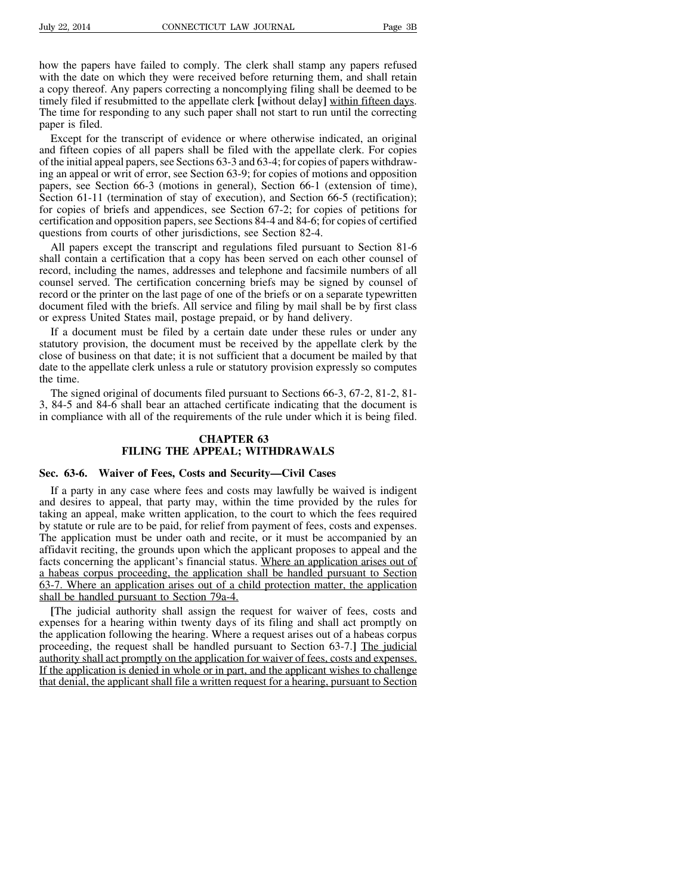how the papers have failed to comply. The clerk shall stamp any papers refused with the date on which they were received before returning them, and shall retain a copy thereof. Any papers correcting a noncomplying filing shall be deemed to be timely filed if resubmitted to the appellate clerk **[**without delay**]** within fifteen days. The time for responding to any such paper shall not start to run until the correcting paper is filed.

Except for the transcript of evidence or where otherwise indicated, an original and fifteen copies of all papers shall be filed with the appellate clerk. For copies of the initial appeal papers, see Sections  $63-3$  and  $63-4$ ; for copies of papers withdrawing an appeal or writ of error, see Section 63-9; for copies of motions and opposition papers, see Section 66-3 (motions in general), Section 66-1 (extension of time), Section 61-11 (termination of stay of execution), and Section 66-5 (rectification); for copies of briefs and appendices, see Section 67-2; for copies of petitions for certification and opposition papers, see Sections 84-4 and 84-6; for copies of certified questions from courts of other jurisdictions, see Section 82-4.

All papers except the transcript and regulations filed pursuant to Section 81-6 shall contain a certification that a copy has been served on each other counsel of record, including the names, addresses and telephone and facsimile numbers of all counsel served. The certification concerning briefs may be signed by counsel of record or the printer on the last page of one of the briefs or on a separate typewritten document filed with the briefs. All service and filing by mail shall be by first class or express United States mail, postage prepaid, or by hand delivery.

If a document must be filed by a certain date under these rules or under any statutory provision, the document must be received by the appellate clerk by the close of business on that date; it is not sufficient that a document be mailed by that date to the appellate clerk unless a rule or statutory provision expressly so computes the time.

The signed original of documents filed pursuant to Sections 66-3, 67-2, 81-2, 81 3, 84-5 and 84-6 shall bear an attached certificate indicating that the document is in compliance with all of the requirements of the rule under which it is being filed.

#### **CHAPTER 63 FILING THE APPEAL; WITHDRAWALS**

#### **Sec. 63-6. Waiver of Fees, Costs and Security—Civil Cases**

If a party in any case where fees and costs may lawfully be waived is indigent and desires to appeal, that party may, within the time provided by the rules for taking an appeal, make written application, to the court to which the fees required by statute or rule are to be paid, for relief from payment of fees, costs and expenses. The application must be under oath and recite, or it must be accompanied by an affidavit reciting, the grounds upon which the applicant proposes to appeal and the facts concerning the applicant's financial status. Where an application arises out of a habeas corpus proceeding, the application shall be handled pursuant to Section 63-7. Where an application arises out of a child protection matter, the application shall be handled pursuant to Section 79a-4.

**[**The judicial authority shall assign the request for waiver of fees, costs and expenses for a hearing within twenty days of its filing and shall act promptly on the application following the hearing. Where a request arises out of a habeas corpus proceeding, the request shall be handled pursuant to Section 63-7.**]** The judicial authority shall act promptly on the application for waiver of fees, costs and expenses. If the application is denied in whole or in part, and the applicant wishes to challenge that denial, the applicant shall file a written request for a hearing, pursuant to Section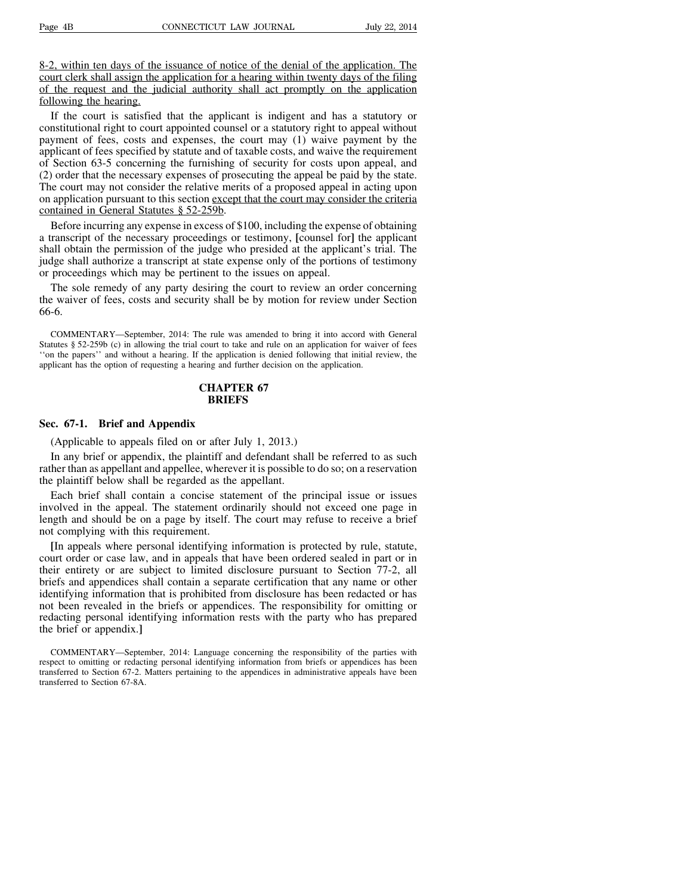8-2, within ten days of the issuance of notice of the denial of the application. The court clerk shall assign the application for a hearing within twenty days of the filing of the request and the judicial authority shall act promptly on the application following the hearing.

If the court is satisfied that the applicant is indigent and has a statutory or constitutional right to court appointed counsel or a statutory right to appeal without payment of fees, costs and expenses, the court may (1) waive payment by the applicant of fees specified by statute and of taxable costs, and waive the requirement of Section 63-5 concerning the furnishing of security for costs upon appeal, and (2) order that the necessary expenses of prosecuting the appeal be paid by the state. The court may not consider the relative merits of a proposed appeal in acting upon on application pursuant to this section except that the court may consider the criteria contained in General Statutes § 52-259b.

Before incurring any expense in excess of \$100, including the expense of obtaining a transcript of the necessary proceedings or testimony, **[**counsel for**]** the applicant shall obtain the permission of the judge who presided at the applicant's trial. The judge shall authorize a transcript at state expense only of the portions of testimony or proceedings which may be pertinent to the issues on appeal.

The sole remedy of any party desiring the court to review an order concerning the waiver of fees, costs and security shall be by motion for review under Section 66-6.

COMMENTARY—September, 2014: The rule was amended to bring it into accord with General Statutes § 52-259b (c) in allowing the trial court to take and rule on an application for waiver of fees ''on the papers'' and without a hearing. If the application is denied following that initial review, the applicant has the option of requesting a hearing and further decision on the application.

### **CHAPTER 67 BRIEFS**

#### **Sec. 67-1. Brief and Appendix**

(Applicable to appeals filed on or after July 1, 2013.)

In any brief or appendix, the plaintiff and defendant shall be referred to as such rather than as appellant and appellee, wherever it is possible to do so; on a reservation the plaintiff below shall be regarded as the appellant.

Each brief shall contain a concise statement of the principal issue or issues involved in the appeal. The statement ordinarily should not exceed one page in length and should be on a page by itself. The court may refuse to receive a brief not complying with this requirement.

**[**In appeals where personal identifying information is protected by rule, statute, court order or case law, and in appeals that have been ordered sealed in part or in their entirety or are subject to limited disclosure pursuant to Section 77-2, all briefs and appendices shall contain a separate certification that any name or other identifying information that is prohibited from disclosure has been redacted or has not been revealed in the briefs or appendices. The responsibility for omitting or redacting personal identifying information rests with the party who has prepared the brief or appendix.**]**

COMMENTARY—September, 2014: Language concerning the responsibility of the parties with respect to omitting or redacting personal identifying information from briefs or appendices has been transferred to Section 67-2. Matters pertaining to the appendices in administrative appeals have been transferred to Section 67-8A.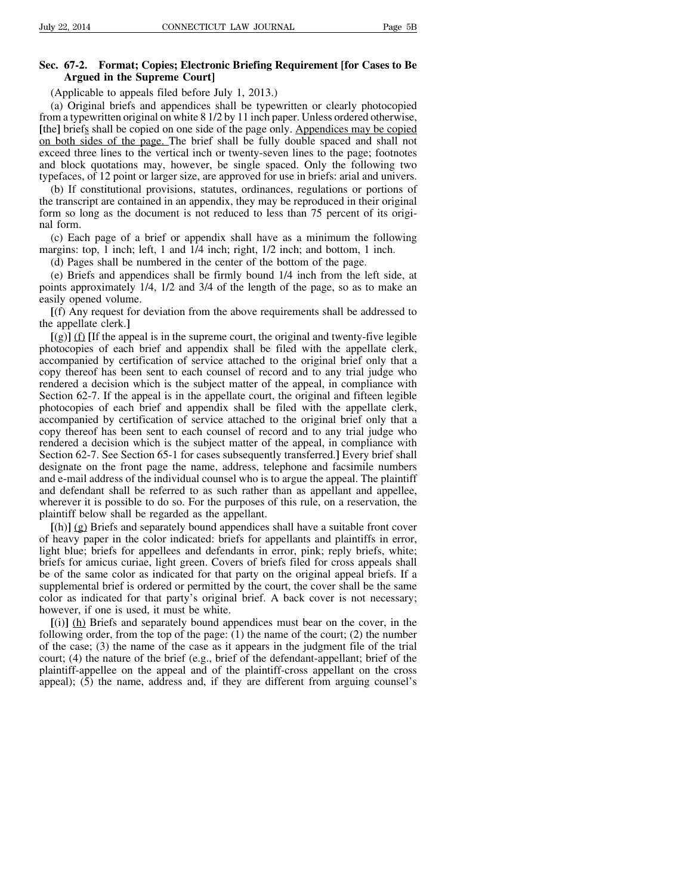## **Sec. 67-2. Format; Copies; Electronic Briefing Requirement [for Cases to Be Argued in the Supreme Court]**

(Applicable to appeals filed before July 1, 2013.)

(a) Original briefs and appendices shall be typewritten or clearly photocopied from a typewritten original on white 8 1/2 by 11 inch paper. Unless ordered otherwise, **[**the**]** briefs shall be copied on one side of the page only. Appendices may be copied on both sides of the page. The brief shall be fully double spaced and shall not exceed three lines to the vertical inch or twenty-seven lines to the page; footnotes and block quotations may, however, be single spaced. Only the following two typefaces, of 12 point or larger size, are approved for use in briefs: arial and univers.

(b) If constitutional provisions, statutes, ordinances, regulations or portions of the transcript are contained in an appendix, they may be reproduced in their original form so long as the document is not reduced to less than 75 percent of its original form.

(c) Each page of a brief or appendix shall have as a minimum the following margins: top, 1 inch; left, 1 and 1/4 inch; right, 1/2 inch; and bottom, 1 inch.

(d) Pages shall be numbered in the center of the bottom of the page.

(e) Briefs and appendices shall be firmly bound 1/4 inch from the left side, at points approximately 1/4, 1/2 and 3/4 of the length of the page, so as to make an easily opened volume.

**[**(f) Any request for deviation from the above requirements shall be addressed to the appellate clerk.**]**

 $[(g)]$  (f) If the appeal is in the supreme court, the original and twenty-five legible photocopies of each brief and appendix shall be filed with the appellate clerk, accompanied by certification of service attached to the original brief only that a copy thereof has been sent to each counsel of record and to any trial judge who rendered a decision which is the subject matter of the appeal, in compliance with Section 62-7. If the appeal is in the appellate court, the original and fifteen legible photocopies of each brief and appendix shall be filed with the appellate clerk, accompanied by certification of service attached to the original brief only that a copy thereof has been sent to each counsel of record and to any trial judge who rendered a decision which is the subject matter of the appeal, in compliance with Section 62-7. See Section 65-1 for cases subsequently transferred.**]** Every brief shall designate on the front page the name, address, telephone and facsimile numbers and e-mail address of the individual counsel who is to argue the appeal. The plaintiff and defendant shall be referred to as such rather than as appellant and appellee, wherever it is possible to do so. For the purposes of this rule, on a reservation, the plaintiff below shall be regarded as the appellant.

**[**(h)**]** (g) Briefs and separately bound appendices shall have a suitable front cover of heavy paper in the color indicated: briefs for appellants and plaintiffs in error, light blue; briefs for appellees and defendants in error, pink; reply briefs, white; briefs for amicus curiae, light green. Covers of briefs filed for cross appeals shall be of the same color as indicated for that party on the original appeal briefs. If a supplemental brief is ordered or permitted by the court, the cover shall be the same color as indicated for that party's original brief. A back cover is not necessary; however, if one is used, it must be white.

**[**(i)**]** (h) Briefs and separately bound appendices must bear on the cover, in the following order, from the top of the page: (1) the name of the court; (2) the number of the case; (3) the name of the case as it appears in the judgment file of the trial court; (4) the nature of the brief (e.g., brief of the defendant-appellant; brief of the plaintiff-appellee on the appeal and of the plaintiff-cross appellant on the cross appeal); (5) the name, address and, if they are different from arguing counsel's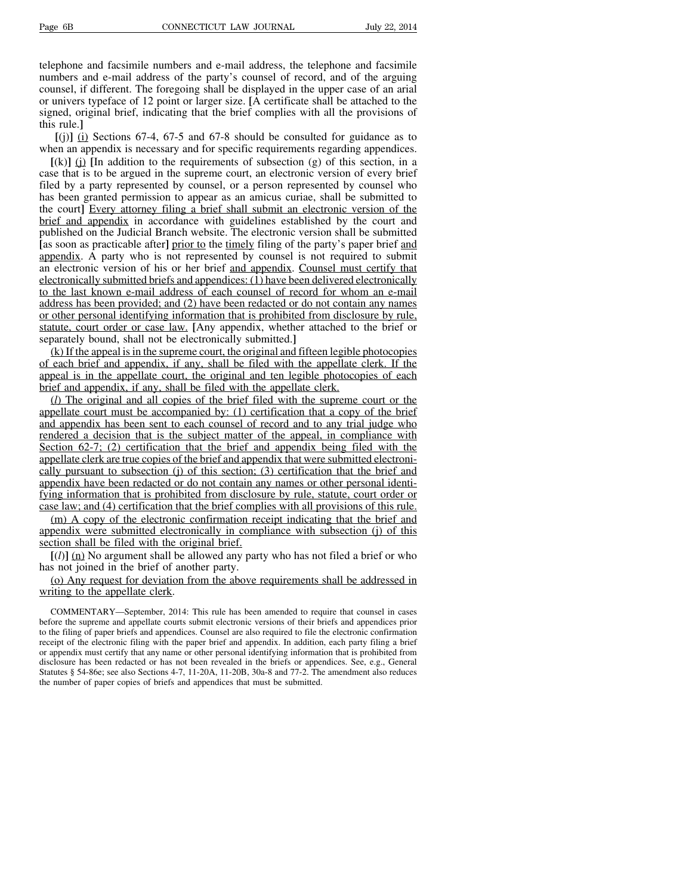telephone and facsimile numbers and e-mail address, the telephone and facsimile numbers and e-mail address of the party's counsel of record, and of the arguing counsel, if different. The foregoing shall be displayed in the upper case of an arial or univers typeface of 12 point or larger size. **[**A certificate shall be attached to the signed, original brief, indicating that the brief complies with all the provisions of this rule.**]**

**[**(j)**]** (i) Sections 67-4, 67-5 and 67-8 should be consulted for guidance as to when an appendix is necessary and for specific requirements regarding appendices.

 $[(k)]$  (i)  $[In addition to the requirements of subsection (g) of this section, in a$ case that is to be argued in the supreme court, an electronic version of every brief filed by a party represented by counsel, or a person represented by counsel who has been granted permission to appear as an amicus curiae, shall be submitted to the court**]** Every attorney filing a brief shall submit an electronic version of the brief and appendix in accordance with guidelines established by the court and published on the Judicial Branch website. The electronic version shall be submitted **[**as soon as practicable after**]** prior to the timely filing of the party's paper brief and appendix. A party who is not represented by counsel is not required to submit an electronic version of his or her brief and appendix. Counsel must certify that electronically submitted briefs and appendices: (1) have been delivered electronically to the last known e-mail address of each counsel of record for whom an e-mail address has been provided; and (2) have been redacted or do not contain any names or other personal identifying information that is prohibited from disclosure by rule, statute, court order or case law. **[**Any appendix, whether attached to the brief or separately bound, shall not be electronically submitted.**]**

 $(k)$  If the appeal is in the supreme court, the original and fifteen legible photocopies of each brief and appendix, if any, shall be filed with the appellate clerk. If the appeal is in the appellate court, the original and ten legible photocopies of each brief and appendix, if any, shall be filed with the appellate clerk.

(*l*) The original and all copies of the brief filed with the supreme court or the appellate court must be accompanied by: (1) certification that a copy of the brief and appendix has been sent to each counsel of record and to any trial judge who rendered a decision that is the subject matter of the appeal, in compliance with Section 62-7; (2) certification that the brief and appendix being filed with the appellate clerk are true copies of the brief and appendix that were submitted electronically pursuant to subsection (j) of this section; (3) certification that the brief and appendix have been redacted or do not contain any names or other personal identifying information that is prohibited from disclosure by rule, statute, court order or case law; and (4) certification that the brief complies with all provisions of this rule.

(m) A copy of the electronic confirmation receipt indicating that the brief and appendix were submitted electronically in compliance with subsection (j) of this section shall be filed with the original brief.

 $[(*l*)]$  (n) No argument shall be allowed any party who has not filed a brief or who has not joined in the brief of another party.

(o) Any request for deviation from the above requirements shall be addressed in writing to the appellate clerk.

COMMENTARY—September, 2014: This rule has been amended to require that counsel in cases before the supreme and appellate courts submit electronic versions of their briefs and appendices prior to the filing of paper briefs and appendices. Counsel are also required to file the electronic confirmation receipt of the electronic filing with the paper brief and appendix. In addition, each party filing a brief or appendix must certify that any name or other personal identifying information that is prohibited from disclosure has been redacted or has not been revealed in the briefs or appendices. See, e.g., General Statutes § 54-86e; see also Sections 4-7, 11-20A, 11-20B, 30a-8 and 77-2. The amendment also reduces the number of paper copies of briefs and appendices that must be submitted.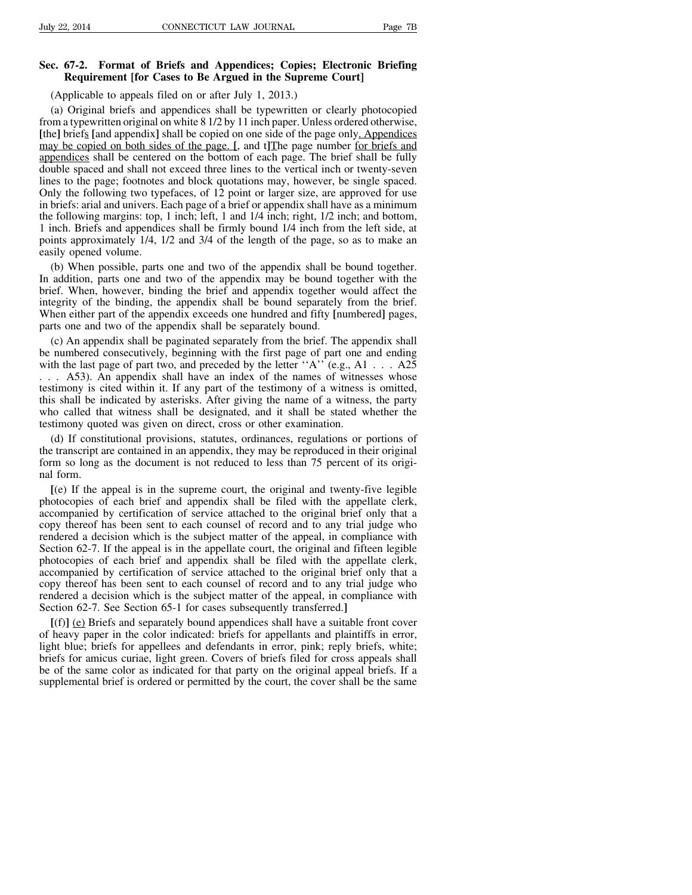### **Sec. 67-2. Format of Briefs and Appendices; Copies; Electronic Briefing Requirement [for Cases to Be Argued in the Supreme Court]**

(Applicable to appeals filed on or after July 1, 2013.)

(a) Original briefs and appendices shall be typewritten or clearly photocopied from a typewritten original on white 8 1/2 by 11 inch paper. Unless ordered otherwise, **[**the**]** briefs **[**and appendix**]** shall be copied on one side of the page only. Appendices may be copied on both sides of the page. **[**, and t**]**The page number for briefs and appendices shall be centered on the bottom of each page. The brief shall be fully double spaced and shall not exceed three lines to the vertical inch or twenty-seven lines to the page; footnotes and block quotations may, however, be single spaced. Only the following two typefaces, of 12 point or larger size, are approved for use in briefs: arial and univers. Each page of a brief or appendix shall have as a minimum the following margins: top, 1 inch; left, 1 and 1/4 inch; right, 1/2 inch; and bottom, 1 inch. Briefs and appendices shall be firmly bound 1/4 inch from the left side, at points approximately 1/4, 1/2 and 3/4 of the length of the page, so as to make an easily opened volume.

(b) When possible, parts one and two of the appendix shall be bound together. In addition, parts one and two of the appendix may be bound together with the brief. When, however, binding the brief and appendix together would affect the integrity of the binding, the appendix shall be bound separately from the brief. When either part of the appendix exceeds one hundred and fifty **[**numbered**]** pages, parts one and two of the appendix shall be separately bound.

(c) An appendix shall be paginated separately from the brief. The appendix shall be numbered consecutively, beginning with the first page of part one and ending with the last page of part two, and preceded by the letter "A" (e.g., A1 . . . A25 . . . A53). An appendix shall have an index of the names of witnesses whose testimony is cited within it. If any part of the testimony of a witness is omitted, this shall be indicated by asterisks. After giving the name of a witness, the party who called that witness shall be designated, and it shall be stated whether the testimony quoted was given on direct, cross or other examination.

(d) If constitutional provisions, statutes, ordinances, regulations or portions of the transcript are contained in an appendix, they may be reproduced in their original form so long as the document is not reduced to less than 75 percent of its original form.

**[**(e) If the appeal is in the supreme court, the original and twenty-five legible photocopies of each brief and appendix shall be filed with the appellate clerk, accompanied by certification of service attached to the original brief only that a copy thereof has been sent to each counsel of record and to any trial judge who rendered a decision which is the subject matter of the appeal, in compliance with Section 62-7. If the appeal is in the appellate court, the original and fifteen legible photocopies of each brief and appendix shall be filed with the appellate clerk, accompanied by certification of service attached to the original brief only that a copy thereof has been sent to each counsel of record and to any trial judge who rendered a decision which is the subject matter of the appeal, in compliance with Section 62-7. See Section 65-1 for cases subsequently transferred.**]**

**[**(f)**]** (e) Briefs and separately bound appendices shall have a suitable front cover of heavy paper in the color indicated: briefs for appellants and plaintiffs in error, light blue; briefs for appellees and defendants in error, pink; reply briefs, white; briefs for amicus curiae, light green. Covers of briefs filed for cross appeals shall be of the same color as indicated for that party on the original appeal briefs. If a supplemental brief is ordered or permitted by the court, the cover shall be the same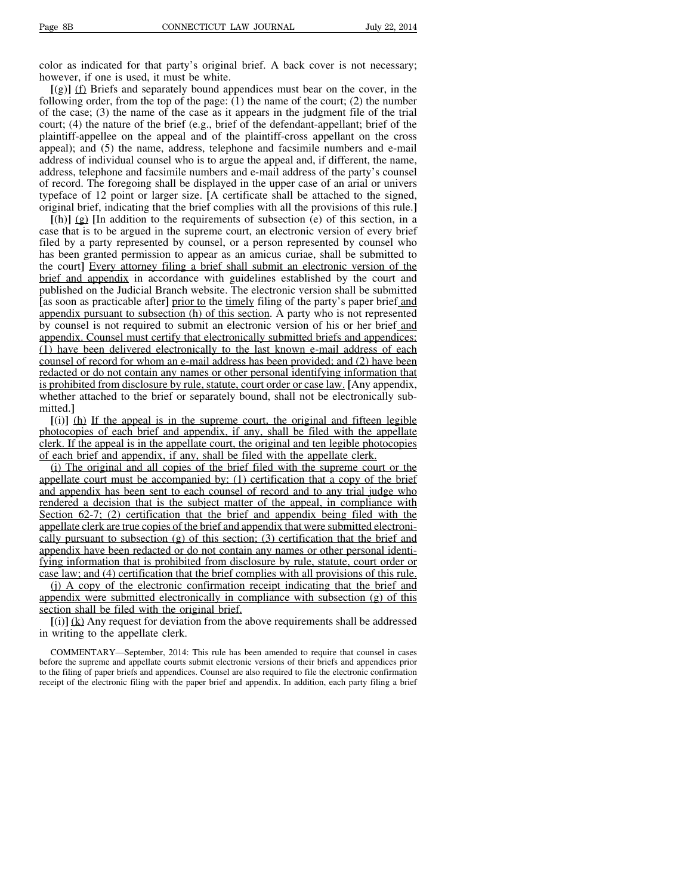color as indicated for that party's original brief. A back cover is not necessary; however, if one is used, it must be white.

**[**(g)**]** (f) Briefs and separately bound appendices must bear on the cover, in the following order, from the top of the page:  $(1)$  the name of the court;  $(2)$  the number of the case; (3) the name of the case as it appears in the judgment file of the trial court; (4) the nature of the brief (e.g., brief of the defendant-appellant; brief of the plaintiff-appellee on the appeal and of the plaintiff-cross appellant on the cross appeal); and (5) the name, address, telephone and facsimile numbers and e-mail address of individual counsel who is to argue the appeal and, if different, the name, address, telephone and facsimile numbers and e-mail address of the party's counsel of record. The foregoing shall be displayed in the upper case of an arial or univers typeface of 12 point or larger size. **[**A certificate shall be attached to the signed, original brief, indicating that the brief complies with all the provisions of this rule.**]**

 $[(h)]$  (g)  $[In addition to the requirements of subsection (e) of this section, in a$ case that is to be argued in the supreme court, an electronic version of every brief filed by a party represented by counsel, or a person represented by counsel who has been granted permission to appear as an amicus curiae, shall be submitted to the court**]** Every attorney filing a brief shall submit an electronic version of the brief and appendix in accordance with guidelines established by the court and published on the Judicial Branch website. The electronic version shall be submitted **[**as soon as practicable after**]** prior to the timely filing of the party's paper brief and appendix pursuant to subsection (h) of this section. A party who is not represented by counsel is not required to submit an electronic version of his or her brief and appendix. Counsel must certify that electronically submitted briefs and appendices:  $(1)$  have been delivered electronically to the last known e-mail address of each counsel of record for whom an e-mail address has been provided; and (2) have been redacted or do not contain any names or other personal identifying information that is prohibited from disclosure by rule, statute, court order or case law. **[**Any appendix, whether attached to the brief or separately bound, shall not be electronically submitted.**]**

**[**(i)**]** (h) If the appeal is in the supreme court, the original and fifteen legible photocopies of each brief and appendix, if any, shall be filed with the appellate clerk. If the appeal is in the appellate court, the original and ten legible photocopies of each brief and appendix, if any, shall be filed with the appellate clerk.

(i) The original and all copies of the brief filed with the supreme court or the appellate court must be accompanied by: (1) certification that a copy of the brief and appendix has been sent to each counsel of record and to any trial judge who rendered a decision that is the subject matter of the appeal, in compliance with Section 62-7; (2) certification that the brief and appendix being filed with the appellate clerk are true copies of the brief and appendix that were submitted electronically pursuant to subsection  $(g)$  of this section; (3) certification that the brief and appendix have been redacted or do not contain any names or other personal identifying information that is prohibited from disclosure by rule, statute, court order or case law; and (4) certification that the brief complies with all provisions of this rule.

(j) A copy of the electronic confirmation receipt indicating that the brief and appendix were submitted electronically in compliance with subsection (g) of this section shall be filed with the original brief.

**[**(i)**]** (k) Any request for deviation from the above requirements shall be addressed in writing to the appellate clerk.

COMMENTARY—September, 2014: This rule has been amended to require that counsel in cases before the supreme and appellate courts submit electronic versions of their briefs and appendices prior to the filing of paper briefs and appendices. Counsel are also required to file the electronic confirmation receipt of the electronic filing with the paper brief and appendix. In addition, each party filing a brief